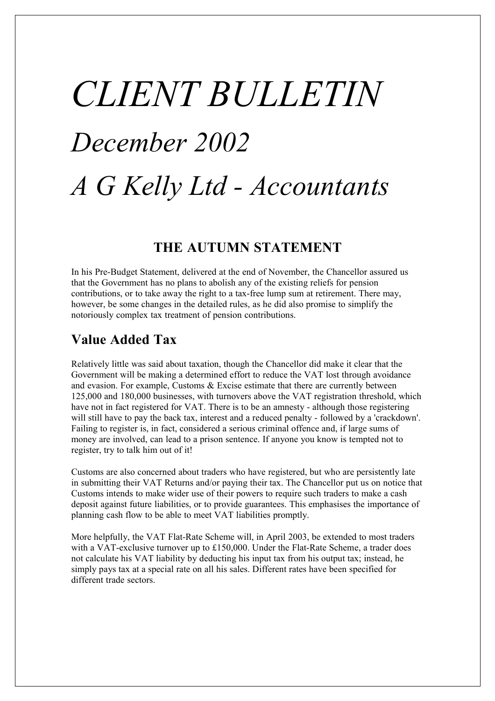# *CLIENT BULLETIN December 2002 A G Kelly Ltd - Accountants*

#### **THE AUTUMN STATEMENT**

In his Pre-Budget Statement, delivered at the end of November, the Chancellor assured us that the Government has no plans to abolish any of the existing reliefs for pension contributions, or to take away the right to a tax-free lump sum at retirement. There may, however, be some changes in the detailed rules, as he did also promise to simplify the notoriously complex tax treatment of pension contributions.

## **Value Added Tax**

Relatively little was said about taxation, though the Chancellor did make it clear that the Government will be making a determined effort to reduce the VAT lost through avoidance and evasion. For example, Customs & Excise estimate that there are currently between 125,000 and 180,000 businesses, with turnovers above the VAT registration threshold, which have not in fact registered for VAT. There is to be an amnesty - although those registering will still have to pay the back tax, interest and a reduced penalty - followed by a 'crackdown'. Failing to register is, in fact, considered a serious criminal offence and, if large sums of money are involved, can lead to a prison sentence. If anyone you know is tempted not to register, try to talk him out of it!

Customs are also concerned about traders who have registered, but who are persistently late in submitting their VAT Returns and/or paying their tax. The Chancellor put us on notice that Customs intends to make wider use of their powers to require such traders to make a cash deposit against future liabilities, or to provide guarantees. This emphasises the importance of planning cash flow to be able to meet VAT liabilities promptly.

More helpfully, the VAT Flat-Rate Scheme will, in April 2003, be extended to most traders with a VAT-exclusive turnover up to £150,000. Under the Flat-Rate Scheme, a trader does not calculate his VAT liability by deducting his input tax from his output tax; instead, he simply pays tax at a special rate on all his sales. Different rates have been specified for different trade sectors.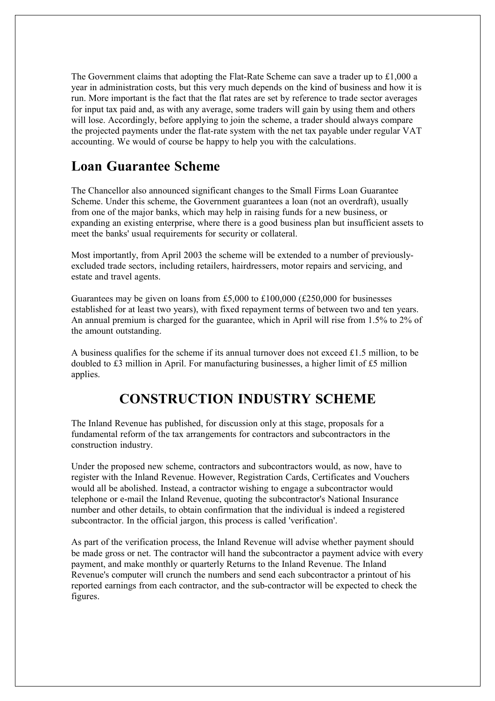The Government claims that adopting the Flat-Rate Scheme can save a trader up to  $\text{\pounds}1,000$  a year in administration costs, but this very much depends on the kind of business and how it is run. More important is the fact that the flat rates are set by reference to trade sector averages for input tax paid and, as with any average, some traders will gain by using them and others will lose. Accordingly, before applying to join the scheme, a trader should always compare the projected payments under the flat-rate system with the net tax payable under regular VAT accounting. We would of course be happy to help you with the calculations.

#### **Loan Guarantee Scheme**

The Chancellor also announced significant changes to the Small Firms Loan Guarantee Scheme. Under this scheme, the Government guarantees a loan (not an overdraft), usually from one of the major banks, which may help in raising funds for a new business, or expanding an existing enterprise, where there is a good business plan but insufficient assets to meet the banks' usual requirements for security or collateral.

Most importantly, from April 2003 the scheme will be extended to a number of previouslyexcluded trade sectors, including retailers, hairdressers, motor repairs and servicing, and estate and travel agents.

Guarantees may be given on loans from £5,000 to £100,000 (£250,000 for businesses established for at least two years), with fixed repayment terms of between two and ten years. An annual premium is charged for the guarantee, which in April will rise from 1.5% to 2% of the amount outstanding.

A business qualifies for the scheme if its annual turnover does not exceed £1.5 million, to be doubled to £3 million in April. For manufacturing businesses, a higher limit of £5 million applies.

## **CONSTRUCTION INDUSTRY SCHEME**

The Inland Revenue has published, for discussion only at this stage, proposals for a fundamental reform of the tax arrangements for contractors and subcontractors in the construction industry.

Under the proposed new scheme, contractors and subcontractors would, as now, have to register with the Inland Revenue. However, Registration Cards, Certificates and Vouchers would all be abolished. Instead, a contractor wishing to engage a subcontractor would telephone or e-mail the Inland Revenue, quoting the subcontractor's National Insurance number and other details, to obtain confirmation that the individual is indeed a registered subcontractor. In the official jargon, this process is called 'verification'.

As part of the verification process, the Inland Revenue will advise whether payment should be made gross or net. The contractor will hand the subcontractor a payment advice with every payment, and make monthly or quarterly Returns to the Inland Revenue. The Inland Revenue's computer will crunch the numbers and send each subcontractor a printout of his reported earnings from each contractor, and the sub-contractor will be expected to check the figures.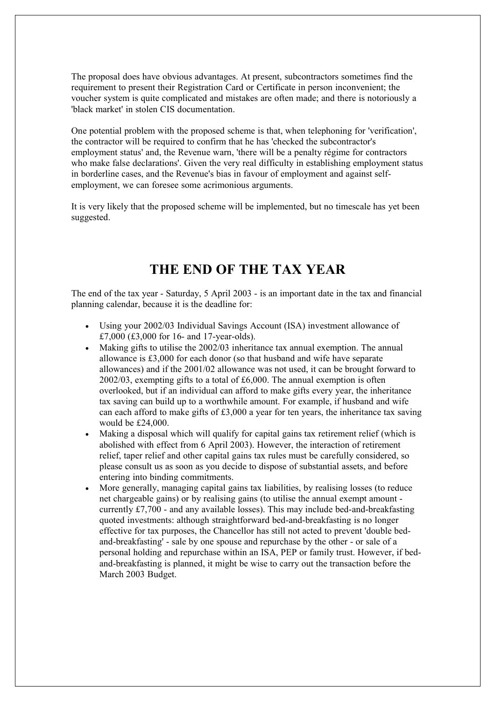The proposal does have obvious advantages. At present, subcontractors sometimes find the requirement to present their Registration Card or Certificate in person inconvenient; the voucher system is quite complicated and mistakes are often made; and there is notoriously a 'black market' in stolen CIS documentation.

One potential problem with the proposed scheme is that, when telephoning for 'verification', the contractor will be required to confirm that he has 'checked the subcontractor's employment status' and, the Revenue warn, 'there will be a penalty régime for contractors who make false declarations'. Given the very real difficulty in establishing employment status in borderline cases, and the Revenue's bias in favour of employment and against selfemployment, we can foresee some acrimonious arguments.

It is very likely that the proposed scheme will be implemented, but no timescale has yet been suggested.

### **THE END OF THE TAX YEAR**

The end of the tax year - Saturday, 5 April 2003 - is an important date in the tax and financial planning calendar, because it is the deadline for:

- · Using your 2002/03 Individual Savings Account (ISA) investment allowance of £7,000 (£3,000 for 16- and 17-year-olds).
- Making gifts to utilise the 2002/03 inheritance tax annual exemption. The annual allowance is £3,000 for each donor (so that husband and wife have separate allowances) and if the 2001/02 allowance was not used, it can be brought forward to 2002/03, exempting gifts to a total of £6,000. The annual exemption is often overlooked, but if an individual can afford to make gifts every year, the inheritance tax saving can build up to a worthwhile amount. For example, if husband and wife can each afford to make gifts of £3,000 a year for ten years, the inheritance tax saving would be £24,000.
- Making a disposal which will qualify for capital gains tax retirement relief (which is abolished with effect from 6 April 2003). However, the interaction of retirement relief, taper relief and other capital gains tax rules must be carefully considered, so please consult us as soon as you decide to dispose of substantial assets, and before entering into binding commitments.
- · More generally, managing capital gains tax liabilities, by realising losses (to reduce net chargeable gains) or by realising gains (to utilise the annual exempt amount currently £7,700 - and any available losses). This may include bed-and-breakfasting quoted investments: although straightforward bed-and-breakfasting is no longer effective for tax purposes, the Chancellor has still not acted to prevent 'double bedand-breakfasting' - sale by one spouse and repurchase by the other - or sale of a personal holding and repurchase within an ISA, PEP or family trust. However, if bedand-breakfasting is planned, it might be wise to carry out the transaction before the March 2003 Budget.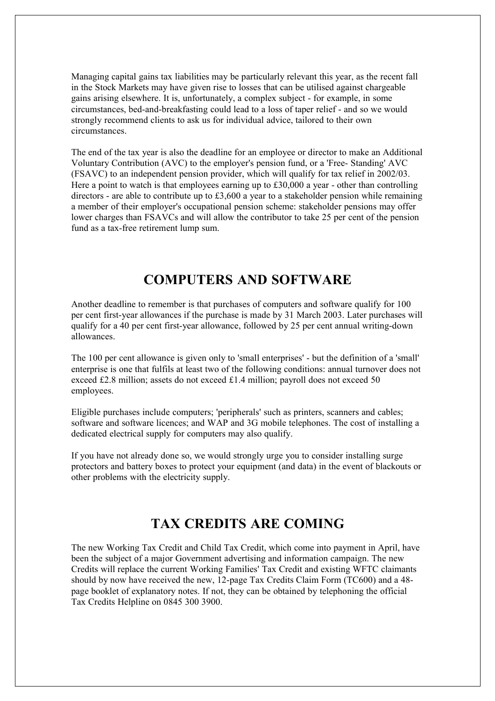Managing capital gains tax liabilities may be particularly relevant this year, as the recent fall in the Stock Markets may have given rise to losses that can be utilised against chargeable gains arising elsewhere. It is, unfortunately, a complex subject - for example, in some circumstances, bed-and-breakfasting could lead to a loss of taper relief - and so we would strongly recommend clients to ask us for individual advice, tailored to their own circumstances.

The end of the tax year is also the deadline for an employee or director to make an Additional Voluntary Contribution (AVC) to the employer's pension fund, or a 'Free- Standing' AVC (FSAVC) to an independent pension provider, which will qualify for tax relief in 2002/03. Here a point to watch is that employees earning up to £30,000 a year - other than controlling directors - are able to contribute up to £3,600 a year to a stakeholder pension while remaining a member of their employer's occupational pension scheme: stakeholder pensions may offer lower charges than FSAVCs and will allow the contributor to take 25 per cent of the pension fund as a tax-free retirement lump sum.

### **COMPUTERS AND SOFTWARE**

Another deadline to remember is that purchases of computers and software qualify for 100 per cent first-year allowances if the purchase is made by 31 March 2003. Later purchases will qualify for a 40 per cent first-year allowance, followed by 25 per cent annual writing-down allowances.

The 100 per cent allowance is given only to 'small enterprises' - but the definition of a 'small' enterprise is one that fulfils at least two of the following conditions: annual turnover does not exceed £2.8 million; assets do not exceed £1.4 million; payroll does not exceed 50 employees.

Eligible purchases include computers; 'peripherals' such as printers, scanners and cables; software and software licences; and WAP and 3G mobile telephones. The cost of installing a dedicated electrical supply for computers may also qualify.

If you have not already done so, we would strongly urge you to consider installing surge protectors and battery boxes to protect your equipment (and data) in the event of blackouts or other problems with the electricity supply.

## **TAX CREDITS ARE COMING**

The new Working Tax Credit and Child Tax Credit, which come into payment in April, have been the subject of a major Government advertising and information campaign. The new Credits will replace the current Working Families' Tax Credit and existing WFTC claimants should by now have received the new, 12-page Tax Credits Claim Form (TC600) and a 48 page booklet of explanatory notes. If not, they can be obtained by telephoning the official Tax Credits Helpline on 0845 300 3900.